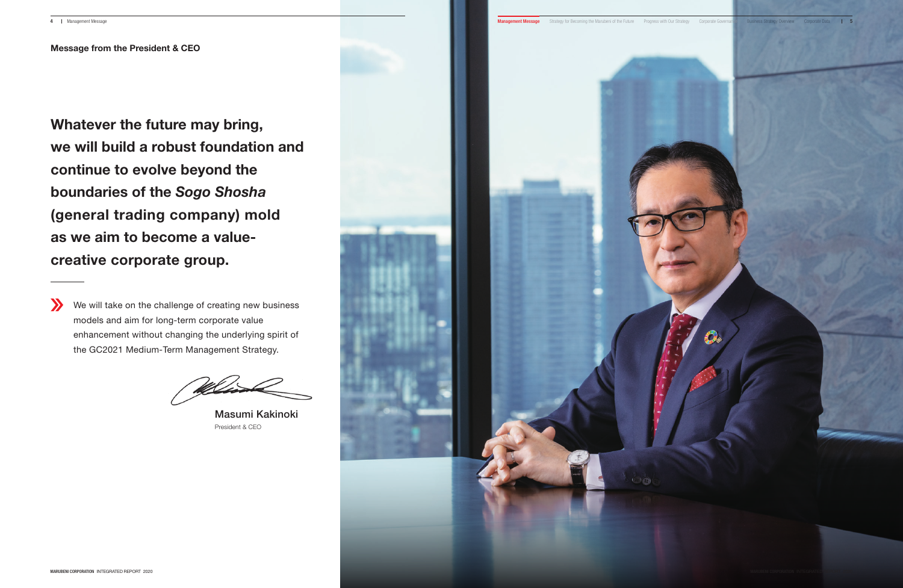Message from the President & CEO

Whatever the future may bring, we will build a robust foundation and continue to evolve beyond the boundaries of the *Sogo Shosha* (general trading company) mold as we aim to become a valuecreative corporate group.

We will take on the challenge of creating new business models and aim for long-term corporate value enhancement without changing the underlying spirit of the GC2021 Medium-Term Management Strategy.

President & CEO Masumi Kakinoki

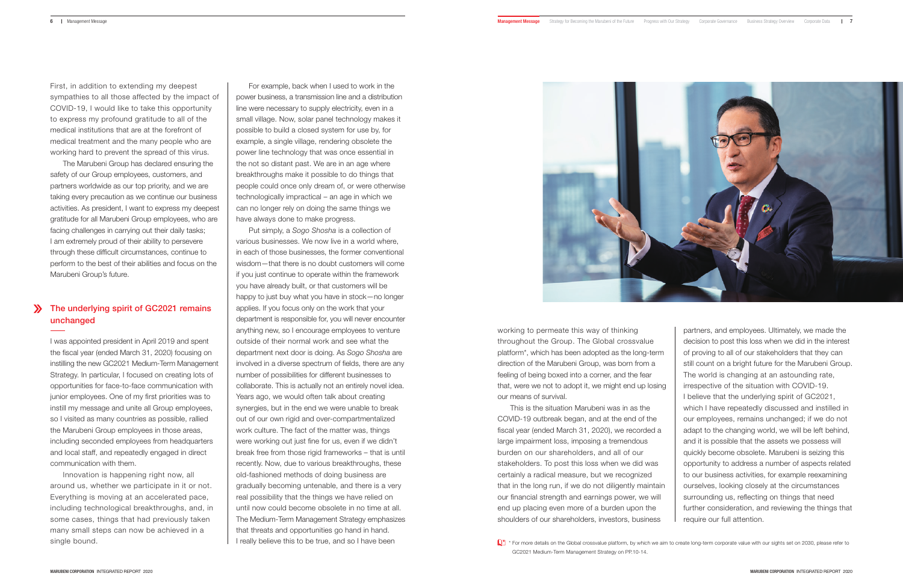First, in addition to extending my deepest sympathies to all those affected by the impact of COVID-19, I would like to take this opportunity to express my profound gratitude to all of the medical institutions that are at the forefront of medical treatment and the many people who are working hard to prevent the spread of this virus.

The Marubeni Group has declared ensuring the safety of our Group employees, customers, and partners worldwide as our top priority, and we are taking every precaution as we continue our business activities. As president, I want to express my deepest gratitude for all Marubeni Group employees, who are facing challenges in carrying out their daily tasks; I am extremely proud of their ability to persevere through these difficult circumstances, continue to perform to the best of their abilities and focus on the Marubeni Group's future.

For example, back when I used to work in the power business, a transmission line and a distribution line were necessary to supply electricity, even in a small village. Now, solar panel technology makes it possible to build a closed system for use by, for example, a single village, rendering obsolete the power line technology that was once essential in the not so distant past. We are in an age where breakthroughs make it possible to do things that people could once only dream of, or were otherwise technologically impractical – an age in which we can no longer rely on doing the same things we have always done to make progress.

Put simply, a *Sogo Shosha* is a collection of various businesses. We now live in a world where, in each of those businesses, the former conventional wisdom—that there is no doubt customers will come if you just continue to operate within the framework you have already built, or that customers will be happy to just buy what you have in stock—no longer applies. If you focus only on the work that your department is responsible for, you will never encounter anything new, so I encourage employees to venture outside of their normal work and see what the department next door is doing. As *Sogo Shosha* are involved in a diverse spectrum of fields, there are any number of possibilities for different businesses to collaborate. This is actually not an entirely novel idea. Years ago, we would often talk about creating synergies, but in the end we were unable to break out of our own rigid and over-compartmentalized work culture. The fact of the matter was, things were working out just fine for us, even if we didn't break free from those rigid frameworks – that is until recently. Now, due to various breakthroughs, these old-fashioned methods of doing business are gradually becoming untenable, and there is a very real possibility that the things we have relied on until now could become obsolete in no time at all. The Medium-Term Management Strategy emphasizes that threats and opportunities go hand in hand. I really believe this to be true, and so I have been



Fundally \* For more details on the Global crossvalue platform, by which we aim to create long-term corporate value with our sights set on 2030, please refer to GC2021 Medium-Term Management Strategy on PP.10-14.

working to permeate this way of thinking throughout the Group. The Global crossvalue platform\*, which has been adopted as the long-term direction of the Marubeni Group, was born from a feeling of being boxed into a corner, and the fear that, were we not to adopt it, we might end up losing our means of survival.

This is the situation Marubeni was in as the COVID-19 outbreak began, and at the end of the fiscal year (ended March 31, 2020), we recorded a large impairment loss, imposing a tremendous burden on our shareholders, and all of our stakeholders. To post this loss when we did was certainly a radical measure, but we recognized that in the long run, if we do not diligently maintain our financial strength and earnings power, we will end up placing even more of a burden upon the shoulders of our shareholders, investors, business

partners, and employees. Ultimately, we made the decision to post this loss when we did in the interest of proving to all of our stakeholders that they can still count on a bright future for the Marubeni Group. The world is changing at an astounding rate, irrespective of the situation with COVID-19. I believe that the underlying spirit of GC2021, which I have repeatedly discussed and instilled in our employees, remains unchanged; if we do not adapt to the changing world, we will be left behind, and it is possible that the assets we possess will quickly become obsolete. Marubeni is seizing this opportunity to address a number of aspects related to our business activities, for example reexamining ourselves, looking closely at the circumstances surrounding us, reflecting on things that need further consideration, and reviewing the things that require our full attention.

I was appointed president in April 2019 and spent the fiscal year (ended March 31, 2020) focusing on instilling the new GC2021 Medium-Term Management Strategy. In particular, I focused on creating lots of opportunities for face-to-face communication with junior employees. One of my first priorities was to instill my message and unite all Group employees, so I visited as many countries as possible, rallied the Marubeni Group employees in those areas, including seconded employees from headquarters and local staff, and repeatedly engaged in direct communication with them.

Innovation is happening right now, all around us, whether we participate in it or not. Everything is moving at an accelerated pace, including technological breakthroughs, and, in some cases, things that had previously taken many small steps can now be achieved in a single bound.

# The underlying spirit of GC2021 remains unchanged